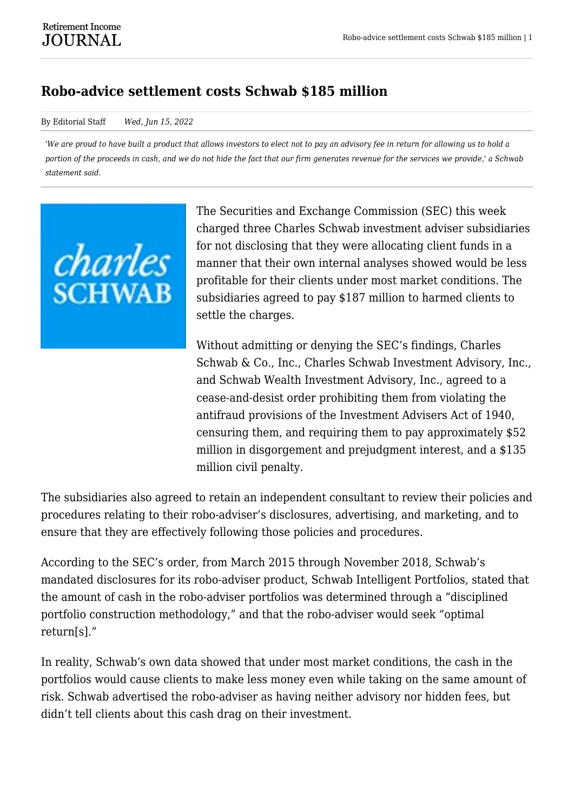## **Robo-advice settlement costs Schwab \$185 million**

## By Editorial Staff *Wed, Jun 15, 2022*

*'We are proud to have built a product that allows investors to elect not to pay an advisory fee in return for allowing us to hold a portion of the proceeds in cash, and we do not hide the fact that our firm generates revenue for the services we provide,' a Schwab statement said.*



The Securities and Exchange Commission (SEC) this week charged three Charles Schwab investment adviser subsidiaries for not disclosing that they were allocating client funds in a manner that their own internal analyses showed would be less profitable for their clients under most market conditions. The subsidiaries agreed to pay \$187 million to harmed clients to settle the charges.

Without admitting or denying the SEC's findings, Charles Schwab & Co., Inc., Charles Schwab Investment Advisory, Inc., and Schwab Wealth Investment Advisory, Inc., agreed to a cease-and-desist order prohibiting them from violating the antifraud provisions of the Investment Advisers Act of 1940, censuring them, and requiring them to pay approximately \$52 million in disgorgement and prejudgment interest, and a \$135 million civil penalty.

The subsidiaries also agreed to retain an independent consultant to review their policies and procedures relating to their robo-adviser's disclosures, advertising, and marketing, and to ensure that they are effectively following those policies and procedures.

According to the SEC's order, from March 2015 through November 2018, Schwab's mandated disclosures for its robo-adviser product, Schwab Intelligent Portfolios, stated that the amount of cash in the robo-adviser portfolios was determined through a "disciplined portfolio construction methodology," and that the robo-adviser would seek "optimal return[s]."

In reality, Schwab's own data showed that under most market conditions, the cash in the portfolios would cause clients to make less money even while taking on the same amount of risk. Schwab advertised the robo-adviser as having neither advisory nor hidden fees, but didn't tell clients about this cash drag on their investment.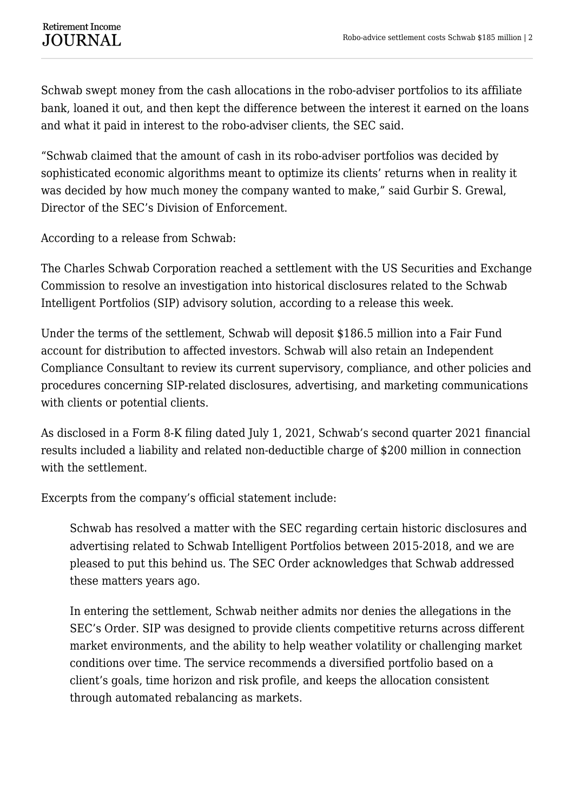Schwab swept money from the cash allocations in the robo-adviser portfolios to its affiliate bank, loaned it out, and then kept the difference between the interest it earned on the loans and what it paid in interest to the robo-adviser clients, the SEC said.

"Schwab claimed that the amount of cash in its robo-adviser portfolios was decided by sophisticated economic algorithms meant to optimize its clients' returns when in reality it was decided by how much money the company wanted to make," said Gurbir S. Grewal, Director of the SEC's Division of Enforcement.

According to a release from Schwab:

The Charles Schwab Corporation reached a settlement with the US Securities and Exchange Commission to resolve an investigation into historical disclosures related to the Schwab Intelligent Portfolios (SIP) advisory solution, according to a release this week.

Under the terms of the settlement, Schwab will deposit \$186.5 million into a Fair Fund account for distribution to affected investors. Schwab will also retain an Independent Compliance Consultant to review its current supervisory, compliance, and other policies and procedures concerning SIP-related disclosures, advertising, and marketing communications with clients or potential clients.

As disclosed in a Form 8-K filing dated July 1, 2021, Schwab's second quarter 2021 financial results included a liability and related non-deductible charge of \$200 million in connection with the settlement.

Excerpts from the company's official statement include:

Schwab has resolved a matter with the SEC regarding certain historic disclosures and advertising related to Schwab Intelligent Portfolios between 2015-2018, and we are pleased to put this behind us. The SEC Order acknowledges that Schwab addressed these matters years ago.

In entering the settlement, Schwab neither admits nor denies the allegations in the SEC's Order. SIP was designed to provide clients competitive returns across different market environments, and the ability to help weather volatility or challenging market conditions over time. The service recommends a diversified portfolio based on a client's goals, time horizon and risk profile, and keeps the allocation consistent through automated rebalancing as markets.